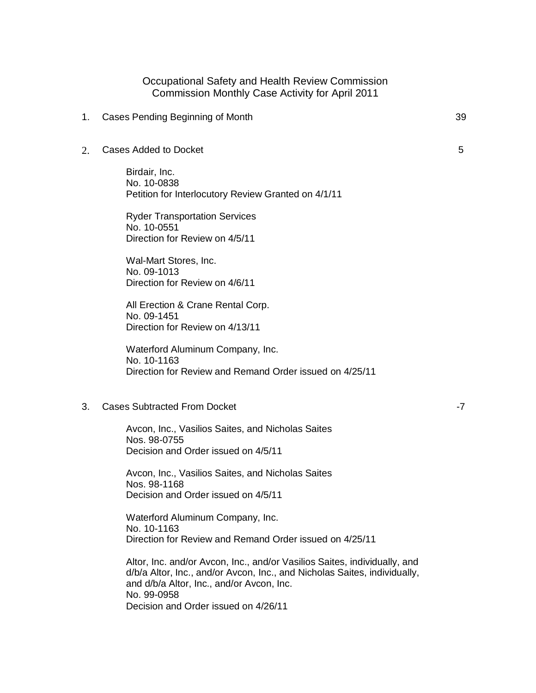## Occupational Safety and Health Review Commission Commission Monthly Case Activity for April 2011

- 1. Cases Pending Beginning of Month 39
- 2. Cases Added to Docket

Birdair, Inc. No. 10-0838 Petition for Interlocutory Review Granted on 4/1/11

Ryder Transportation Services No. 10-0551 Direction for Review on 4/5/11

Wal-Mart Stores, Inc. No. 09-1013 Direction for Review on 4/6/11

All Erection & Crane Rental Corp. No. 09-1451 Direction for Review on 4/13/11

Waterford Aluminum Company, Inc. No. 10-1163 Direction for Review and Remand Order issued on 4/25/11

3. Cases Subtracted From Docket

Avcon, Inc., Vasilios Saites, and Nicholas Saites Nos. 98-0755 Decision and Order issued on 4/5/11

Avcon, Inc., Vasilios Saites, and Nicholas Saites Nos. 98-1168 Decision and Order issued on 4/5/11

Waterford Aluminum Company, Inc. No. 10-1163 Direction for Review and Remand Order issued on 4/25/11

Altor, Inc. and/or Avcon, Inc., and/or Vasilios Saites, individually, and d/b/a Altor, Inc., and/or Avcon, Inc., and Nicholas Saites, individually, and d/b/a Altor, Inc., and/or Avcon, Inc. No. 99-0958 Decision and Order issued on 4/26/11

-7